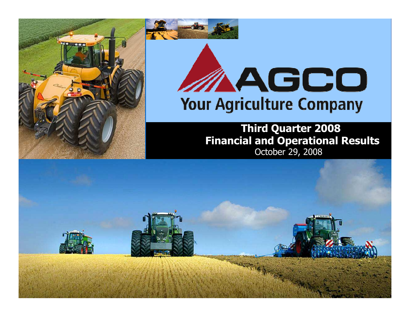

# AAGCO **Your Agriculture Company**

October 29, 2008Third Quarter 2008 Financial and Operational Results

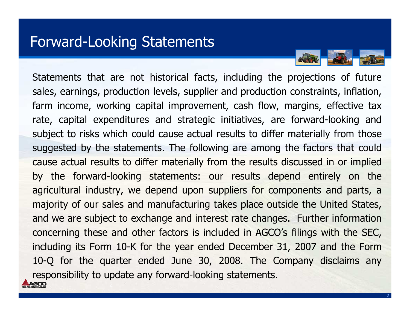#### Forward-Looking Statements

Statements that are not historical facts, including the projections of future sales, earnings, production levels, supplier and production constraints, inflation, farm income, working capital improvement, cash flow, margins, effective tax rate, capital expenditures and strategic initiatives, are forward-looking and subject to risks which could cause actual results to differ materially from those suggested by the statements. The following are among the factors that could cause actual results to differ materially from the results discussed in or implied by the forward-looking statements: our results depend entirely on the agricultural industry, we depend upon suppliers for components and parts, a majority of our sales and manufacturing takes place outside the United States, and we are subject to exchange and interest rate changes. Further information concerning these and other factors is included in AGCO's filings with the SEC, including its Form 10-K for the year ended December 31, 2007 and the Form<br>10.0 for the guarter anded June 20, 2008, The Company disclaims any 10-Q for the quarter ended June 30, 2008. The Company disclaims anyresponsibility to update any forward-looking statements.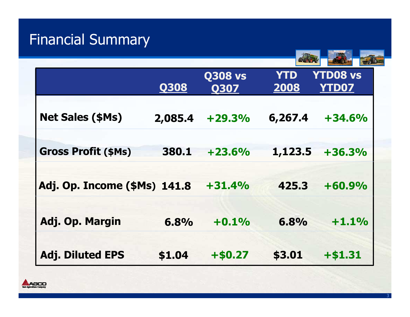# Financial Summary

|                              | <b>Q308</b> | <b>Q308 vs</b><br><b>Q307</b> | <b>YTD</b><br>2008 | <b>YTD08 vs</b><br><b>YTD07</b> |
|------------------------------|-------------|-------------------------------|--------------------|---------------------------------|
| <b>Net Sales (\$Ms)</b>      | 2,085.4     | $+29.3%$                      | 6,267.4            | $+34.6%$                        |
| <b>Gross Profit (\$Ms)</b>   | 380.1       | $+23.6%$                      | 1,123.5            | $+36.3%$                        |
| Adj. Op. Income (\$Ms) 141.8 |             | $+31.4%$                      | 425.3              | $+60.9%$                        |
| Adj. Op. Margin              | 6.8%        | $+0.1%$                       | 6.8%               | $+1.1%$                         |
| <b>Adj. Diluted EPS</b>      | \$1.04      | $+ $0.27$                     | \$3.01             | $+ $1.31$                       |

**TIERS** 

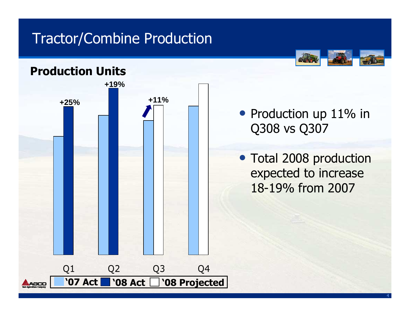### Tractor/Combine Production



#### Production Units



#### • Production up 11% in Q308 vs Q307

• Total 2008 production expected to increase 18-19% from 2007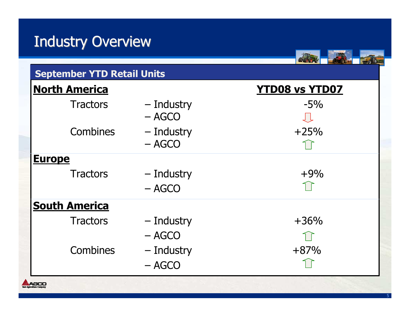# Industry Overview

| <b>September YTD Retail Units</b> |                        |                       |  |  |
|-----------------------------------|------------------------|-----------------------|--|--|
| <b>North America</b>              |                        | <b>YTD08 vs YTD07</b> |  |  |
| <b>Tractors</b>                   | – Industry<br>$-$ AGCO | $-5\%$                |  |  |
| Combines                          | - Industry<br>$- AGCO$ | $+25%$                |  |  |
| <b>Europe</b>                     |                        |                       |  |  |
| <b>Tractors</b>                   | - Industry<br>$-$ AGCO | $+9%$                 |  |  |
| <b>South America</b>              |                        |                       |  |  |
| <b>Tractors</b>                   | – Industry<br>$-$ AGCO | $+36%$                |  |  |
| Combines                          | - Industry<br>$-$ AGCO | $+87%$                |  |  |

29

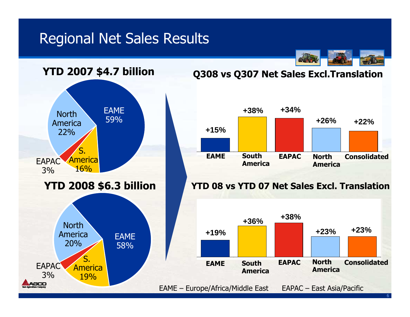#### Regional Net Sales Results



#### Q308 vs Q307 Net Sales Excl.Translation



#### YTD 08 vs YTD 07 Net Sales Excl. Translation

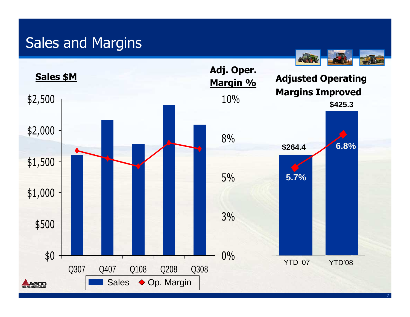### Sales and Margins

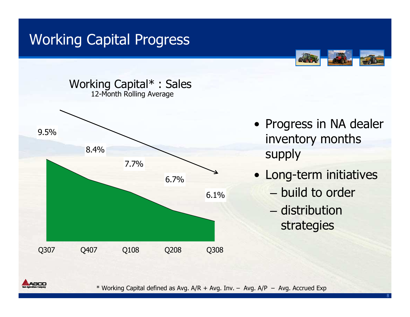# Working Capital Progress





- Progress in NA dealer inventory months supply
- Long-term initiatives
	- –build to order
	- –– distribution strategies



\* Working Capital defined as Avg. A/R + Avg. Inv. – Avg. A/P – Avg. Accrued Exp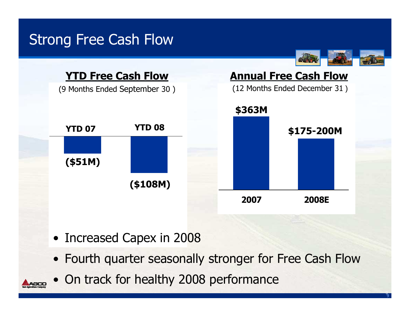# Strong Free Cash Flow



- Increased Capex in 2008
- Fourth quarter seasonally stronger for Free Cash Flow
- On track for healthy 2008 performance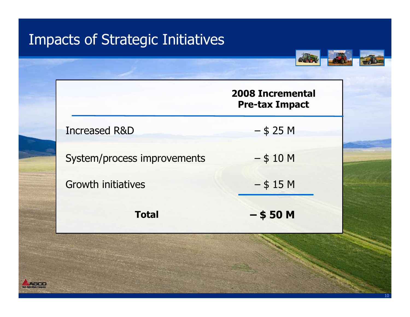# Impacts of Strategic Initiatives

**AGCC** 

|                             | <b>2008 Incremental</b><br><b>Pre-tax Impact</b> |
|-----------------------------|--------------------------------------------------|
| <b>Increased R&amp;D</b>    | $-$ \$ 25 M                                      |
| System/process improvements | $-$ \$ 10 M                                      |
| <b>Growth initiatives</b>   | $-$ \$ 15 M                                      |
| <b>Total</b>                | $-$ \$50 M                                       |
|                             |                                                  |

**CLOIS**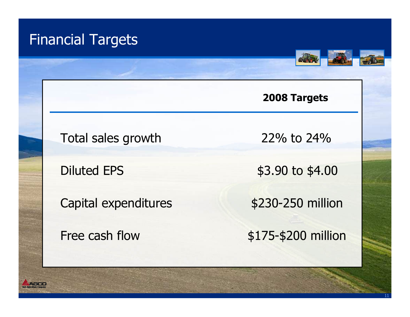### Financial Targets



11

#### 2008 Targets

Total sales growth 22% to 24%

Capital expenditures \$230-250 million

Diluted EPS \$3.90 to \$4.00

Free cash flow \$175-\$200 million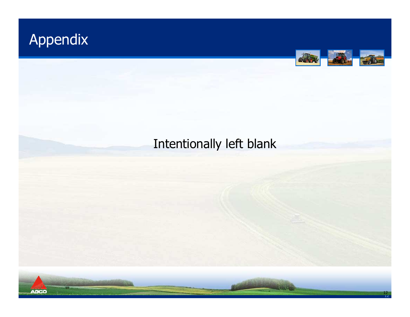# Appendix



#### Intentionally left blank

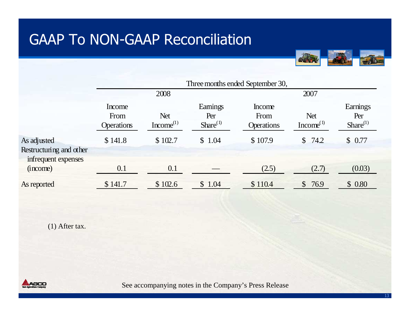

|                                                               | Three months ended September 30,    |                                     |                                  |                                     |                                     |                                   |
|---------------------------------------------------------------|-------------------------------------|-------------------------------------|----------------------------------|-------------------------------------|-------------------------------------|-----------------------------------|
|                                                               | 2008                                |                                     |                                  | 2007                                |                                     |                                   |
|                                                               | Income<br>From<br><b>Operations</b> | <b>Net</b><br>Income <sup>(1)</sup> | Eamings<br>Per<br>Share $^{(1)}$ | Income<br>From<br><b>Operations</b> | <b>Net</b><br>Income <sup>(1)</sup> | Earnings<br>Per<br>Share $^{(1)}$ |
| As adjusted<br>Restructuring and other<br>infrequent expenses | \$141.8                             | \$102.7                             | \$1.04                           | \$107.9                             | \$74.2                              | \$0.77                            |
| (income)                                                      | 0.1                                 | 0.1                                 |                                  | (2.5)                               | (2.7)                               | (0.03)                            |
| As reported                                                   | \$141.7                             | \$102.6                             | $\mathbb{S}$<br>1.04             | \$110.4                             | $\mathbb{S}$<br>76.9                | \$0.80                            |

(1) After tax.

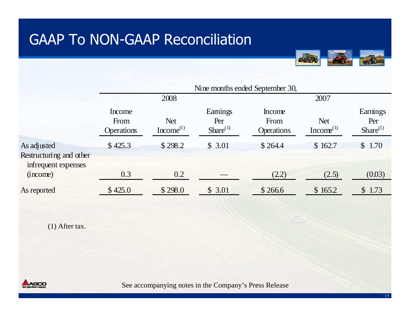

(1) After tax.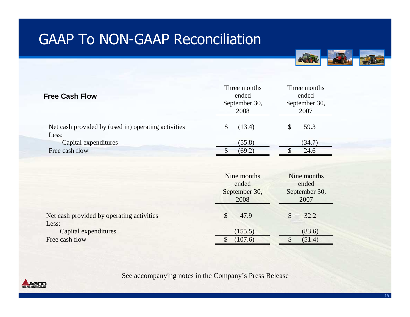

| <b>Free Cash Flow</b>                                        | Three months<br>ended<br>September 30,<br>2008 | Three months<br>ended<br>September 30,<br>2007 |  |
|--------------------------------------------------------------|------------------------------------------------|------------------------------------------------|--|
| Net cash provided by (used in) operating activities<br>Less: | \$<br>(13.4)                                   | \$<br>59.3                                     |  |
| Capital expenditures                                         | (55.8)                                         | (34.7)                                         |  |
| Free cash flow                                               | (69.2)                                         | 24.6                                           |  |
|                                                              | Nine months<br>ended<br>September 30,<br>2008  | Nine months<br>ended<br>September 30,<br>2007  |  |
| Net cash provided by operating activities                    | \$<br>47.9                                     | \$<br>32.2                                     |  |
| Less:<br>Capital expenditures                                | (155.5)                                        | (83.6)                                         |  |
| Free cash flow                                               | \$<br>(107.6)                                  | \$<br>(51.4)                                   |  |

See accompanying notes in the Company's Press Release